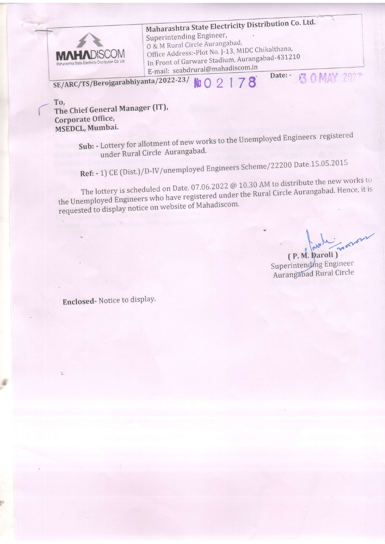

Maharashtra State Electricity Distribution Co. Ltd. Superintending Engineer, 0 & M Rural Circle Aurangabad, Office Address:-Plot No. J-13, MIDC Chikalthana, In Front of Garware Stadium, Aurangabad-431210 E-mail: seabdrural@mahadiscom.in **13 0 MAY 2027** Date: -

SE/ARC/TS/Berojgarabhiyanta/2022-23/  $9178$  $M_0 \cap$ 

To, The Chief General Manager (IT), Corporate Office, MSEDCL, Mumbai.

Sub: - Lottery for allotment of new works to the Unemployed Engineers registered under Rural Circle Aurangabad.

Ref: - 1) CE (Dist.)/D-IV/unemployed Engineers Scheme/22200 Date.15.05.2015

The lottery is scheduled on Date. 07.06.2022 @ 10.30 AM to distribute the new works to the Unemployed Engineers who have registered under the Rural Circle Aurangabad. Hence, it is requested to display notice on website of Mahadiscom.

(P. M. Daroli) Superintending Engineer Aurangabad Rural Circle

Enclosed-Notice to display.